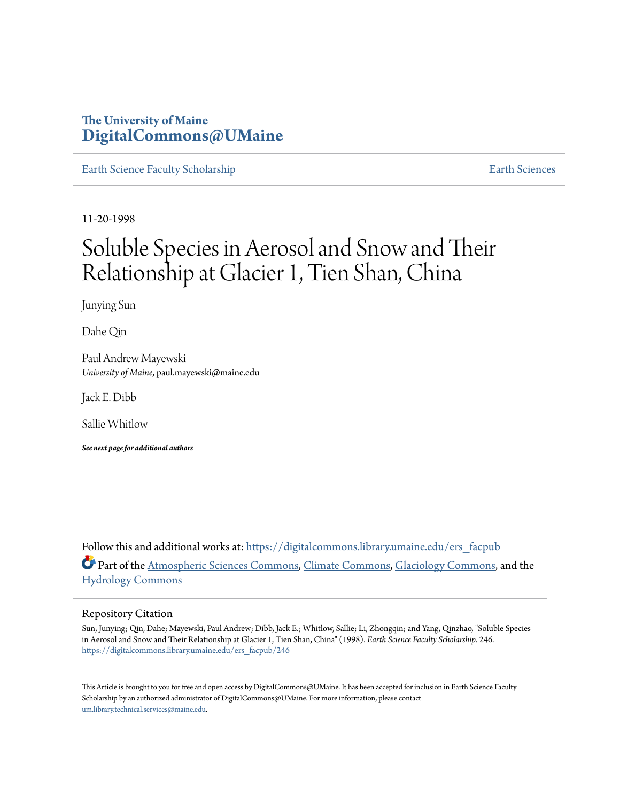# **The University of Maine [DigitalCommons@UMaine](https://digitalcommons.library.umaine.edu?utm_source=digitalcommons.library.umaine.edu%2Fers_facpub%2F246&utm_medium=PDF&utm_campaign=PDFCoverPages)**

[Earth Science Faculty Scholarship](https://digitalcommons.library.umaine.edu/ers_facpub?utm_source=digitalcommons.library.umaine.edu%2Fers_facpub%2F246&utm_medium=PDF&utm_campaign=PDFCoverPages) **[Earth Sciences](https://digitalcommons.library.umaine.edu/ers?utm_source=digitalcommons.library.umaine.edu%2Fers_facpub%2F246&utm_medium=PDF&utm_campaign=PDFCoverPages)** 

11-20-1998

# Soluble Species in Aerosol and Snow and Their Relationship at Glacier 1, Tien Shan, China

Junying Sun

Dahe Qin

Paul Andrew Mayewski *University of Maine*, paul.mayewski@maine.edu

Jack E. Dibb

Sallie Whitlow

*See next page for additional authors*

Follow this and additional works at: [https://digitalcommons.library.umaine.edu/ers\\_facpub](https://digitalcommons.library.umaine.edu/ers_facpub?utm_source=digitalcommons.library.umaine.edu%2Fers_facpub%2F246&utm_medium=PDF&utm_campaign=PDFCoverPages) Part of the [Atmospheric Sciences Commons,](http://network.bepress.com/hgg/discipline/187?utm_source=digitalcommons.library.umaine.edu%2Fers_facpub%2F246&utm_medium=PDF&utm_campaign=PDFCoverPages) [Climate Commons,](http://network.bepress.com/hgg/discipline/188?utm_source=digitalcommons.library.umaine.edu%2Fers_facpub%2F246&utm_medium=PDF&utm_campaign=PDFCoverPages) [Glaciology Commons](http://network.bepress.com/hgg/discipline/159?utm_source=digitalcommons.library.umaine.edu%2Fers_facpub%2F246&utm_medium=PDF&utm_campaign=PDFCoverPages), and the [Hydrology Commons](http://network.bepress.com/hgg/discipline/1054?utm_source=digitalcommons.library.umaine.edu%2Fers_facpub%2F246&utm_medium=PDF&utm_campaign=PDFCoverPages)

# Repository Citation

Sun, Junying; Qin, Dahe; Mayewski, Paul Andrew; Dibb, Jack E.; Whitlow, Sallie; Li, Zhongqin; and Yang, Qinzhao, "Soluble Species in Aerosol and Snow and Their Relationship at Glacier 1, Tien Shan, China" (1998). *Earth Science Faculty Scholarship*. 246. [https://digitalcommons.library.umaine.edu/ers\\_facpub/246](https://digitalcommons.library.umaine.edu/ers_facpub/246?utm_source=digitalcommons.library.umaine.edu%2Fers_facpub%2F246&utm_medium=PDF&utm_campaign=PDFCoverPages)

This Article is brought to you for free and open access by DigitalCommons@UMaine. It has been accepted for inclusion in Earth Science Faculty Scholarship by an authorized administrator of DigitalCommons@UMaine. For more information, please contact [um.library.technical.services@maine.edu](mailto:um.library.technical.services@maine.edu).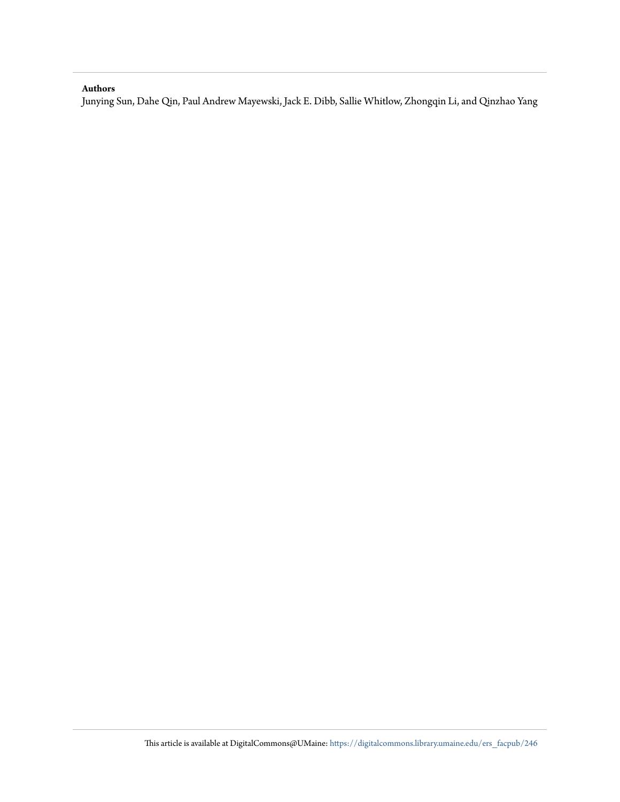# **Authors**

Junying Sun, Dahe Qin, Paul Andrew Mayewski, Jack E. Dibb, Sallie Whitlow, Zhongqin Li, and Qinzhao Yang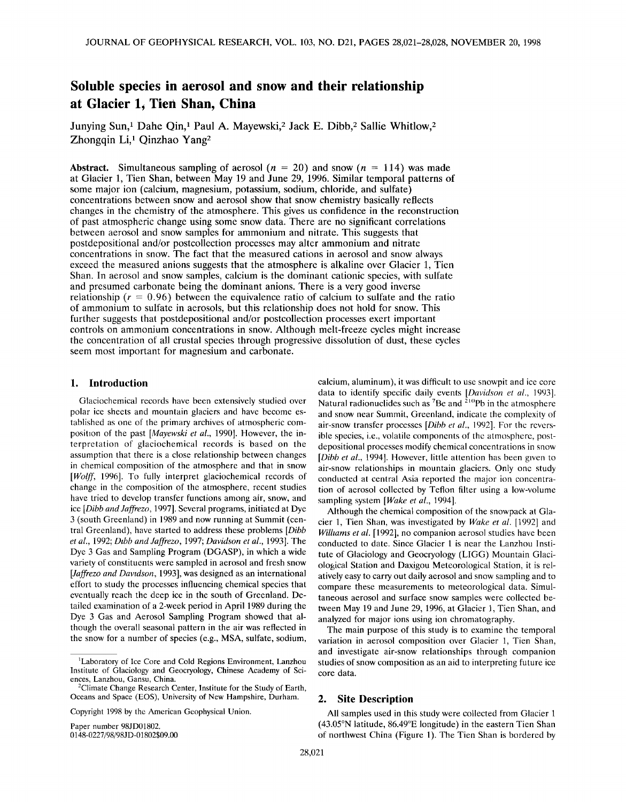# **Soluble species in aerosol and snow and their relationship at Glacier 1, Tien Shan, China**

Junying Sun,<sup>1</sup> Dahe Qin,<sup>1</sup> Paul A. Mayewski,<sup>2</sup> Jack E. Dibb,<sup>2</sup> Sallie Whitlow,<sup>2</sup> Zhongqin Li,<sup>1</sup> Qinzhao Yang<sup>2</sup>

**Abstract.** Simultaneous sampling of aerosol  $(n = 20)$  and snow  $(n = 114)$  was made **at Glacier 1, Tien Shan, between May 19 and June 29, 1996. Similar temporal patterns of some major ion (calcium, magnesium, potassium, sodium, chloride, and sulfate) concentrations between snow and aerosol show that snow chemistry basically reflects changes in the chemistry of the atmosphere. This gives us confidence in the reconstruction of past atmospheric change using some snow data. There are no significant correlations between aerosol and snow samples for ammonium and nitrate. This suggests that postdepositional and/or postcollection processes may alter ammonium and nitrate concentrations in snow. The fact that the measured cations in aerosol and snow always exceed the measured anions suggests that the atmosphere is alkaline over Glacier 1, Tien Shan. In aerosol and snow samples, calcium is the dominant cationic species, with sulfate and presumed carbonate being the dominant anions. There is a very good inverse**  relationship ( $r = 0.96$ ) between the equivalence ratio of calcium to sulfate and the ratio **of ammonium to sulfate in aerosols, but this relationship does not hold for snow. This further suggests that postdepositional and/or postcollection processes exert important controls on ammonium concentrations in snow. Although melt-freeze cycles might increase the concentration of all crustal species through progressive dissolution of dust, these cycles seem most important for magnesium and carbonate.** 

# **1. Introduction**

**Glaciochemical records have been extensively studied over polar ice sheets and mountain glaciers and have become established as one of the primary archives of atmospheric composition of the past [Mayewski et al., 1990]. However, the interpretation of glaciochemical records is based on the assumption that there is a close relationship between changes in chemical composition of the atmosphere and that in snow [Wolff, 1996]. To fully interpret glaciochemical records of change in the composition of the atmosphere, recent studies have tried to develop transfer functions among air, snow, and ice [Dibb and Jaffrezo, 1997]. Several programs, initiated at Dye 3 (south Greenland) in 1989 and now running at Summit (central Greenland), have started to address these problems [Dibb el al., 1992; Dibb and Jaffrezo, 1997; Davidson et al., 1993]. The Dye 3 Gas and Sampling Program (DGASP), in which a wide variety of constituents were sampled in aerosol and fresh snow [Jaffrezo and Davidson, 1993], was designed as an international effort to study the processes influencing chemical species that eventually reach the deep ice in the south of Greenland. Detailed examination of a 2-week period in April 1989 during the Dye 3 Gas and Aerosol Sampling Program showed that although the overall seasonal pattern in the air was reflected in the snow for a number of species (e.g., MSA, sulfate, sodium,** 

**Copyright 1998 by the American Geophysical Union.** 

**Paper number 98JD01802. 0148-0227/98/98JD-01802509.00** 

**calcium, aluminum), it was difficult to use snowpit and ice core**  data to identify specific daily events [Davidson et al., 1993]. Natural radionuclides such as <sup>7</sup>Be and <sup>210</sup>Pb in the atmosphere **and snow near Summit, Greenland, indicate the complexity of**  air-snow transfer processes [*Dibb et al.*, 1992]. For the revers**ible species, i.e., volatile components of the atmosphere, postdepositional processes modify chemical concentrations in snow [Dibb el al., 1994]. However, little attention has been given to air-snow relationships in mountain glaciers. Only one study conducted at central Asia reported the major ion concentration of aerosol collected by Teflon filter using a low-volume**  sampling system [Wake et al., 1994].

**Although the chemical composition of the snowpack at Gla**cier 1, Tien Shan, was investigated by Wake et al. [1992] and Williams et al. [1992], no companion aerosol studies have been **conducted to date. Since Glacier 1 is near the Lanzhou Institute of Glaciology and Geocryology (LIGG) Mountain Glaciological Station and Daxigou Meteorological Station, it is relatively easy to carry out daily aerosol and snow sampling and to compare these measurements to meteorological data. Simultaneous aerosol and surface snow samples were collected between May 19 and June 29, 1996, at Glacier 1, Tien Shan, and analyzed for major ions using ion chromatography.** 

**The main purpose of this study is to examine the temporal variation in aerosol composition over Glacier 1, Tien Shan, and investigate air-snow relationships through companion studies of snow composition as an aid to interpreting future ice core data.** 

#### **2. Site Description**

**All samples used in this study were collected from Glacier 1 (43.05øN latitude, 86.49øE longitude) in the eastern Tien Shan of northwest China (Figure 1). The Tien Shan is bordered by** 

**<sup>•</sup>Laboratory of Ice Core and Cold Regions Environment, Lanzhou Institute of Glaciology and Geocryology, Chinese Academy of Sciences, Lanzhou, Gansu, China.** 

**<sup>2</sup>Climate Change Research Center, Institute for the Study of Earth, Oceans and Space (EOS), University of New Hampshire, Durham.**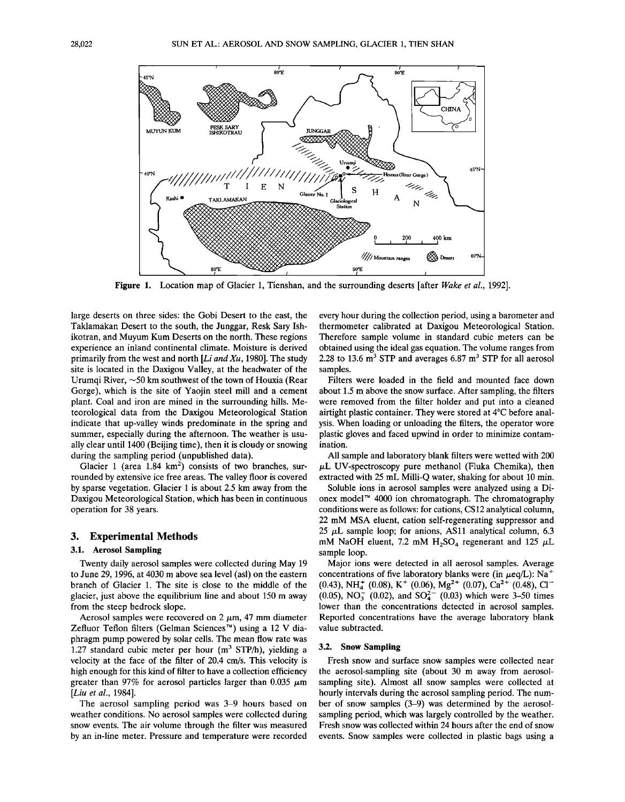

Figure 1. Location map of Glacier 1, Tienshan, and the surrounding deserts [after Wake et al., 1992].

**large deserts on three sides: the Gobi Desert to the east, the Taklamakan Desert to the south, the Junggar, Resk Sary Ishikotran, and Muyum Kum Deserts on the north. These regions experience an inland continental climate. Moisture is derived primarily from the west and north [Li and Xu, 1980]. The study site is located in the Daxigou Valley, at the headwater of the**  Urumqi River,  $\sim$ 50 km southwest of the town of Houxia (Rear **Gorge), which is the site of Yaojin steel mill and a cement plant. Coal and iron are mined in the surrounding hills. Meteorological data from the Daxigou Meteorological Station indicate that up-valley winds predominate in the spring and summer, especially during the afternoon. The weather is usually clear until 1400 (Beijing time), then it is cloudy or snowing during the sampling period (unpublished data).** 

Glacier 1 (area 1.84 km<sup>2</sup>) consists of two branches, sur**rounded by extensive ice free areas. The valley floor is covered by sparse vegetation. Glacier 1 is about 2.5 km away from the Daxigou Meteorological Station, which has been in continuous operation for 38 years.** 

#### **3. Experimental Methods**

# **3.1. Aerosol Sampling**

**Twenty daily aerosol samples were collected during May 19 to June 29, 1996, at 4030 m above sea level (asl) on the eastern branch of Glacier 1. The site is close to the middle of the glacier, just above the equilibrium line and about 150 m away from the steep bedrock slope.** 

Aerosol samples were recovered on  $2 \mu m$ , 47 mm diameter Zefluor Teflon filters (Gelman Sciences<sup>™</sup>) using a 12 V dia**phragm pump powered by solar cells. The mean flow rate was**  1.27 standard cubic meter per hour (m<sup>3</sup> STP/h), yielding a **velocity at the face of the filter of 20.4 cm/s. This velocity is high enough for this kind of filter to have a collection efficiency**  greater than 97% for aerosol particles larger than  $0.035 \mu m$ **[Liu et al., 1984].** 

**The aerosol sampling period was 3-9 hours based on weather conditions. No aerosol samples were collected during snow events. The air volume through the filter was measured by an in-line meter. Pressure and temperature were recorded**  **every hour during the collection period, using a barometer and thermometer calibrated at Daxigou Meteorological Station. Therefore sample volume in standard cubic meters can be obtained using the ideal gas equation. The volume ranges from**  2.28 to 13.6  $\text{m}^3$  STP and averages 6.87  $\text{m}^3$  STP for all aerosol **samples.** 

**Filters were loaded in the field and mounted face down about 1.5 m above the snow surface. After sampling, the filters were removed from the filter holder and put into a cleaned**  airtight plastic container. They were stored at 4<sup>o</sup>C before anal**ysis. When loading or unloading the filters, the operator wore plastic gloves and faced upwind in order to minimize contamination.** 

**All sample and laboratory blank filters were wetted with 200**   $\mu$ L UV-spectroscopy pure methanol (Fluka Chemika), then **extracted with 25 mL Milli-Q water, shaking for about 10 min.** 

**Soluble ions in aerosol samples were analyzed using a Dionex model TM 4000 ion chromatograph. The chromatography conditions were as follows: for cations, CS 12 analytical column, 22 mM MSA eluent, cation self-regenerating suppressor and**  25  $\mu$ L sample loop; for anions, AS11 analytical column, 6.3 mM NaOH eluent, 7.2 mM  $H_2SO_4$  regenerant and 125  $\mu$ L **sample loop.** 

**Major ions were detected in all aerosol samples. Average**  concentrations of five laboratory blanks were (in  $\mu$ eq/L): Na<sup>+</sup>  $(0.43)$ , NH<sup>+</sup>  $(0.08)$ , K<sup>+</sup>  $(0.06)$ , Mg<sup>2+</sup>  $(0.07)$ , Ca<sup>2+</sup>  $(0.48)$ , Cl<sup>-</sup>  $(0.05)$ , NO<sub>3</sub>  $(0.02)$ , and SO<sub>4</sub><sup>2</sup>  $(0.03)$  which were 3-50 times **lower than the concentrations detected in aerosol samples. Reported concentrations have the average laboratory blank value subtracted.** 

#### **3.2. Snow Sampling**

**Fresh snow and surface snow samples were collected near the aerosol-sampling site (about 30 m away from aerosolsampling site). Almost all snow samples were collected at hourly intervals during the aerosol sampling period. The number of snow samples (3-9) was determined by the aerosolsampling period, which was largely controlled by the weather. Fresh snow was collected within 24 hours after the end of snow events. Snow samples were collected in plastic bags using a**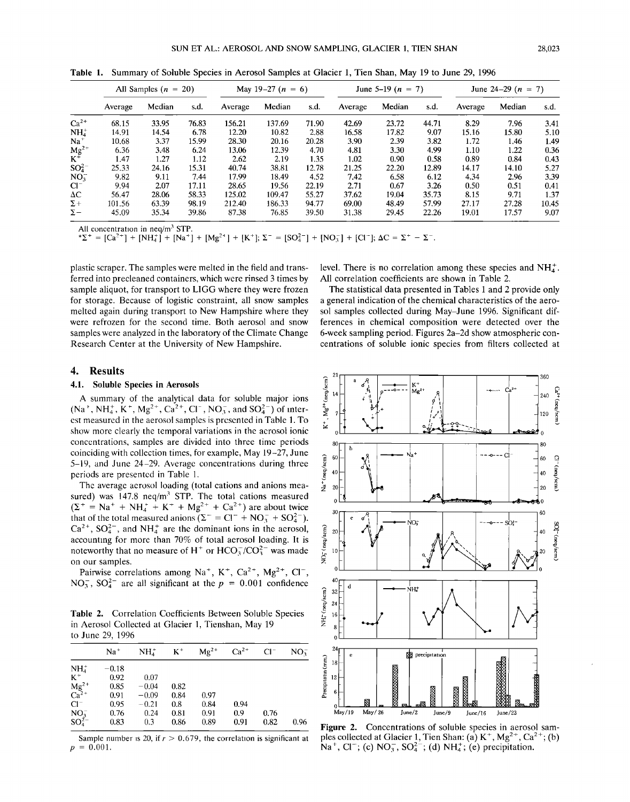|                             | All Samples $(n = 20)$ |        |       | May 19-27 $(n = 6)$ |        |       | June 5-19 ( $n = 7$ ) |        |       | June 24-29 $(n = 7)$ |        |       |
|-----------------------------|------------------------|--------|-------|---------------------|--------|-------|-----------------------|--------|-------|----------------------|--------|-------|
|                             | Average                | Median | s.d.  | Average             | Median | s.d.  | Average               | Median | s.d.  | Average              | Median | s.d.  |
| $Ca2+$                      | 68.15                  | 33.95  | 76.83 | 156.21              | 137.69 | 71.90 | 42.69                 | 23.72  | 44.71 | 8.29                 | 7.96   | 3.41  |
| $NH4+$                      | 14.91                  | 14.54  | 6.78  | 12.20               | 10.82  | 2.88  | 16.58                 | 17.82  | 9.07  | 15.16                | 15.80  | 5.10  |
| $Na+$                       | 10.68                  | 3.37   | 15.99 | 28.30               | 20.16  | 20.28 | 3.90                  | 2.39   | 3.82  | 1.72                 | 1.46   | 1.49  |
|                             | 6.36                   | 3.48   | 6.24  | 13.06               | 12.39  | 4.70  | 4.81                  | 3.30   | 4.99  | 1.10                 | 1.22   | 0.36  |
| $Mg^{2+}$<br>K <sup>+</sup> | 1.47                   | 1.27   | 1.12  | 2.62                | 2.19   | 1.35  | 1.02                  | 0.90   | 0.58  | 0.89                 | 0.84   | 0.43  |
| $SO_4^2$                    | 25.33                  | 24.16  | 15.31 | 40.74               | 38.81  | 12.78 | 21.25                 | 22.20  | 12.89 | 14.17                | 14.10  | 5.27  |
| NO <sub>3</sub>             | 9.82                   | 9.11   | 7.44  | 17.99               | 18.49  | 4.52  | 7.42                  | 6.58   | 6.12  | 4.34                 | 2.96   | 3.39  |
| $Cl^-$                      | 9.94                   | 2.07   | 17.11 | 28.65               | 19.56  | 22.19 | 2.71                  | 0.67   | 3.26  | 0.50                 | 0.51   | 0.41  |
| $\Delta C$                  | 56.47                  | 28.06  | 58.33 | 125.02              | 109.47 | 55.27 | 37.62                 | 19.04  | 35.73 | 8.15                 | 9.71   | 1.37  |
| $\Sigma +$                  | 101.56                 | 63.39  | 98.19 | 212.40              | 186.33 | 94.77 | 69.00                 | 48.49  | 57.99 | 27.17                | 27.28  | 10.45 |
| $\Sigma-$                   | 45.09                  | 35.34  | 39.86 | 87.38               | 76.85  | 39.50 | 31.38                 | 29.45  | 22.26 | 19.01                | 17.57  | 9.07  |

**Table 1. Summary of Soluble Species in Aerosol Samples at Glacier 1, Tien Shan, May 19 to June 29, 1996** 

All concentration in neq/m<sup>3</sup> STP.

 $* \Sigma^+ = [Ca^{2+}] + [NH_4^+] + [Na^+] + [Mg^{2+}] + [K^+]; \Sigma^- = [SO_4^{2-}] + [NO_3^-] + [Cl^-]; \Delta C = \Sigma^+ - \Sigma^-$ .

**plastic scraper. The samples were melted in the field and transferred into precleaned containers, which were rinsed 3 times by sample aliquot, for transport to LIGG where they were frozen for storage. Because of logistic constraint, all snow samples melted again during transport to New Hampshire where they were refrozen for the second time. Both aerosol and snow samples were analyzed in the laboratory of the Climate Change Research Center at the University of New Hampshire.** 

## **4. Results**

## **4.1. Soluble Species in Aerosols**

**A summary of the analytical data for soluble major ions**   $(Na^+, NH_4^+, K^+, Mg^{2+}, Ca^{2+}, Cl^-, NO_3^-$ , and  $SO_4^{2-}$ ) of inter**cst measured in the aerosol samples is presented in Table 1. To show more clearly the temporal variations in the aerosol ionic 0**  concentrations, samples are divided into three time periods coinciding with collection times, for example, May 19-27, June 5-19, and June 24-29. Average concentrations during three periods are presented in Table 1. **5-19, and June 24-29. Average concentrations during three**  periods are presented in Table 1.<br>The average aerosol loading (total cations and anions mea- $\frac{g}{z}$   $\frac{40}{z}$ 

The average aerosol loading (total cations and anions measured) was 147.8 neq/m<sup>3</sup> STP. The total cations measured  $(\Sigma^+ = Na^+ + NH_4^- + K^+ + Mg^{2+} + Ca^{2+})$  are about twice  $\frac{30}{2}$ that of the total measured anions  $(\Sigma^- = \text{Cl}^+ + \text{NO}_3^- + \text{SO}_4^2)$ .  $Ca^{2+}$ ,  $SO_4^{2-}$ , and NH<sub>4</sub><sup>+</sup> are the dominant ions in the aerosol, **accounting for more than 70% of total aerosol loading. It is**  noteworthy that no measure of  $H^+$  or  $HCO<sub>3</sub><sup>-</sup>/CO<sub>3</sub><sup>-</sup>$  was made **on our samples.** 

Pairwise correlations among Na<sup>+</sup>, K<sup>+</sup>, Ca<sup>2+</sup>, Mg<sup>2+</sup>, Cl<sup>-</sup>,

**NO<sub>3</sub>, SO<sub>4</sub><sup>-</sup> are all significant at the**  $p = 0.001$  **confidence**  $\frac{2}{3}$ **<br>
<b>Table 2.** Correlation Coefficients Between Soluble Species<br>
in Aerosol Collected at Glacier 1. Tienshan, May 19 **Table 2. Correlation Coefficients Between Soluble Species in Aerosol Collected at Glacier 1, Tienshan, May 19 to June 29, 1996** 

|                           | $Na+$   | NH <sub>4</sub> | $K^+$ | $Mg^{2+}$ | $Ca^{2+}$ | $Cl^-$ | $NO_{2}^{-}$ |
|---------------------------|---------|-----------------|-------|-----------|-----------|--------|--------------|
| NH <sub>4</sub>           | $-0.18$ |                 |       |           |           |        |              |
| $K^+$                     | 0.92    | 0.07            |       |           |           |        |              |
| $\frac{Mg^{2+}}{Ca^{2+}}$ | 0.85    | $-0.04$         | 0.82  |           |           |        |              |
|                           | 0.91    | $-0.09$         | 0.84  | 0.97      |           |        |              |
| $Cl^-$                    | 0.95    | $-0.21$         | 0.8   | 0.84      | 0.94      |        |              |
|                           | 0.76    | 0.24            | 0.81  | 0.91      | 0.9       | 0.76   |              |
| $NO_3^-$<br>$SO_4^{2-}$   | 0.83    | 0.3             | 0.86  | 0.89      | 0.91      | 0.82   | 0.96         |

Sample number is 20, if  $r > 0.679$ , the correlation is significant at  $p = 0.001$ .

level. There is no correlation among these species and  $NH<sub>4</sub><sup>+</sup>$ . **All correlation coefficients are shown in Table 2.** 

**The statistical data presented in Tables 1 and 2 provide only a general indication of the chemical characteristics of the aerosol samples collected during May-June 1996. Significant differences in chemical composition were detected over the 6-week sampling period. Figures 2a-2d show atmospheric concentrations of soluble ionic species from filters collected at** 



**Figure 2.** Concentrations of soluble species in aerosol sam-<br>ples collected at Glacier 1. Tien Shan: (a)  $K^+$ ,  $Mg^{2+}$ ,  $Ca^{2+}$ ; (b) ples collected at Glacier 1, Tien Shan: (a)  $K^+$ ,  $Mg^{2+}$ ,  $Ca^{2+}$  $Na^+$ , Cl<sup>-</sup>; (c) NO<sub>3</sub>, SO<sub>4</sub><sup>-</sup>; (d) NH<sub>4</sub><sup>+</sup>; (e) precipitation.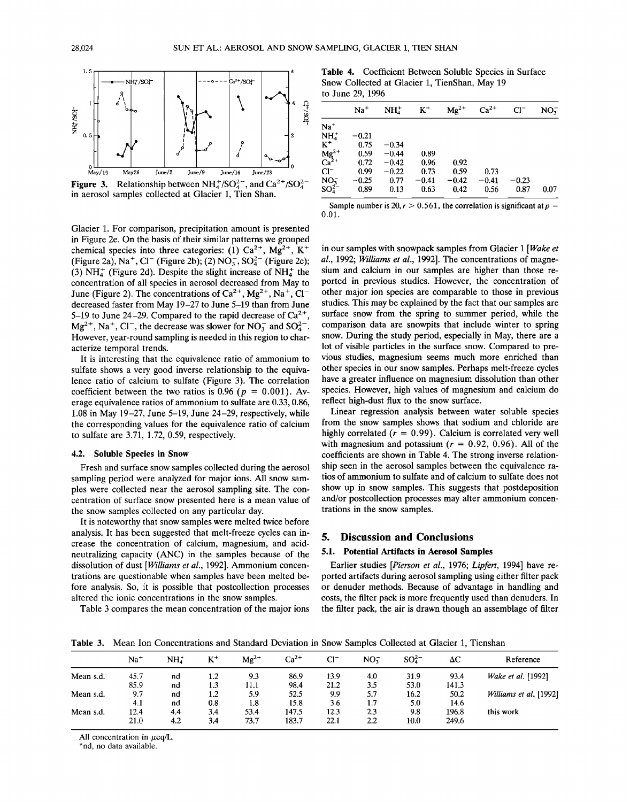

**Figure 3.** Relationship between  $NH_4^+/SO_4^{2-}$ , and  $Ca^{2+}/SO_4^{2-}$ **in aerosol samples collected at Glacier 1, Tien Shan.** 

**Glacier 1. For comparison, precipitation amount is presented in Figure 2e. On the basis of their similar patterns we grouped**  chemical species into three categories: (1)  $Ca^{2+}$ ,  $Mg^{2+}$ ,  $K^+$ (Figure 2a), Na<sup>+</sup>, C<sup> $-$ </sup> (Figure 2b); (2) NO<sub>3</sub>, SO<sub>4</sub><sup>2</sup> (Figure 2c); (3)  $NH<sub>4</sub><sup>+</sup>$  (Figure 2d). Despite the slight increase of  $NH<sub>4</sub><sup>+</sup>$  the **concentration of all species in aerosol decreased from May to**  June (Figure 2). The concentrations of Ca<sup>2+</sup>, Mg<sup>2+</sup>, Na<sup>+</sup>, Cl<sup>-</sup> **decreased faster from May 19-27 to June 5-19 than from June**  5-19 to June 24-29. Compared to the rapid decrease of  $Ca^{2+}$ ,  $Mg^{2+}$ , Na<sup>+</sup>, Cl<sup>-</sup>, the decrease was slower for NO<sub>3</sub> and SO<sub>4</sub><sup>-</sup> **However, year-round sampling is needed in this region to characterize temporal trends.** 

**It is interesting that the equivalence ratio of ammonium to sulfate shows a very good inverse relationship to the equivalence ratio of calcium to sulfate (Figure 3). The correlation**  coefficient between the two ratios is  $0.96$  ( $p = 0.001$ ). Av**erage equivalence ratios of ammonium to sulfate are 0.33, 0.86, 1.08 in May 19-27, June 5-19, June 24-29, respectively, while the corresponding values for the equivalence ratio of calcium to sulfate are 3.71, 1.72, 0.59, respectively.** 

#### **4.2. Soluble Species in Snow**

**Fresh and surface snow samples collected during the aerosol sampling period were analyzed for major ions. All snow samples were collected near the aerosol sampling site. The concentration of surface snow presented here is a mean value of the snow samples collected on any particular day.** 

**It is noteworthy that snow samples were melted twice before analysis. It has been suggested that melt-freeze cycles can increase the concentration of calcium, magnesium, and acidneutralizing capacity (ANC) in the samples because of the dissolution of dust [Williams et al., 1992]. Ammonium concentrations are questionable when samples have been melted before analysis. So, it is possible that postcollection processes altered the ionic concentrations in the snow samples.** 

**Table 3 compares the mean concentration of the major ions** 

**Table 4. Coefficient Between Soluble Species in Surface Snow Collected at Glacier 1, TienShan, May 19 to June 29, 1996** 

|                                         | $Na+$   | NH <sub>4</sub> | $K^+$   | $Mg^{2+}$ | $Ca2+$  | $Cl^-$  | NO <sub>3</sub> |
|-----------------------------------------|---------|-----------------|---------|-----------|---------|---------|-----------------|
| $Na+$                                   |         |                 |         |           |         |         |                 |
| $NH4+$                                  | $-0.21$ |                 |         |           |         |         |                 |
| $K^+$                                   | 0.75    | $-0.34$         |         |           |         |         |                 |
|                                         | 0.59    | $-0.44$         | 0.89    |           |         |         |                 |
| $\frac{\text{Mg}^{2+}}{\text{Ca}^{2+}}$ | 0.72    | $-0.42$         | 0.96    | 0.92      |         |         |                 |
| $Cl^-$                                  | 0.99    | $-0.22$         | 0.73    | 0.59      | 0.73    |         |                 |
| $NO_3^-$                                | $-0.25$ | 0.77            | $-0.41$ | $-0.42$   | $-0.41$ | $-0.23$ |                 |
| $SO_4^{2-}$                             | 0.89    | 0.13            | 0.63    | 0.42      | 0.56    | 0.87    | 0.07            |
|                                         |         |                 |         |           |         |         |                 |

Sample number is  $20, r > 0.561$ , the correlation is significant at  $p =$ **0.01.** 

**in our samples with snowpack samples from Glacier 1 [Wake et al., 1992; Williams et al., 1992]. The concentrations of magnesium and calcium in our samples are higher than those reported in previous studies. However, the concentration of other major ion species are comparable to those in previous studies. This may be explained by the fact that our samples are surface snow from the spring to summer period, while the comparison data are snowpits that include winter to spring snow. During the study period, especially in May, there are a lot of visible particles in the surface snow. Compared to previous studies, magnesium seems much more enriched than other species in our snow samples. Perhaps melt-freeze cycles have a greater influence on magnesium dissolution than other species. However, high values of magnesium and calcium do reflect high-dust flux to the snow surface.** 

**Linear regression analysis between water soluble species from the snow samples shows that sodium and chloride are**  highly correlated  $(r = 0.99)$ . Calcium is correlated very well with magnesium and potassium  $(r = 0.92, 0.96)$ . All of the **coefficients are shown in Table 4. The strong inverse relationship seen in the aerosol samples between the equivalence ratios of ammonium to sulfate and of calcium to sulfate does not show up in snow samples. This suggests that postdeposition and/or postcollection processes may alter ammonium concentrations in the snow samples.** 

#### **5. Discussion and Conclusions**

#### **5.1. Potential Artifacts in Aerosol Samples**

**Earlier studies [Pierson et al., 1976; Lipfert, 1994] have reported artifacts during aerosol sampling using either filter pack or denuder methods. Because of advantage in handling and costs, the filter pack is more frequently used than denuders. In the filter pack, the air is drawn though an assemblage of filter** 

**Table 3. Mean Ion Concentrations and Standard Deviation in Snow Samples Collected at Glacier 1, Tienshan** 

|           | $Na+$ | $NH_{4}^{+}$ | $K^+$ | $Mg^{2+}$ | $Ca2+$ | $Cl^-$ | NO <sub>2</sub> | $SO_4^{2-}$ | ΔC    | Reference              |
|-----------|-------|--------------|-------|-----------|--------|--------|-----------------|-------------|-------|------------------------|
| Mean s.d. | 45.7  | nd           | 1.2   | 9.3       | 86.9   | 13.9   | 4.0             | 31.9        | 93.4  | Wake et al. [1992]     |
|           | 85.9  | nd           | 1.3   | 11.1      | 98.4   | 21.2   | 3.5             | 53.0        | 141.3 |                        |
| Mean s.d. | 9.7   | nd           | 1.2   | 5.9       | 52.5   | 9.9    | 5.7             | 16.2        | 50.2  | Williams et al. [1992] |
|           | 4.1   | nd           | 0.8   | 1.8       | 15.8   | 3.6    | 1.7             | 5.0         | 14.6  |                        |
| Mean s.d. | 12.4  | 4,4          | 3.4   | 53.4      | 147.5  | 12.3   | 2.3             | 9.8         | 196.8 | this work              |
|           | 21.0  | 4.2          | 3.4   | 73.7      | 183.7  | 22.1   | 2.2             | 10.0        | 249.6 |                        |

All concentration in  $\mu$ eq/L.

**\*nd, no data available.**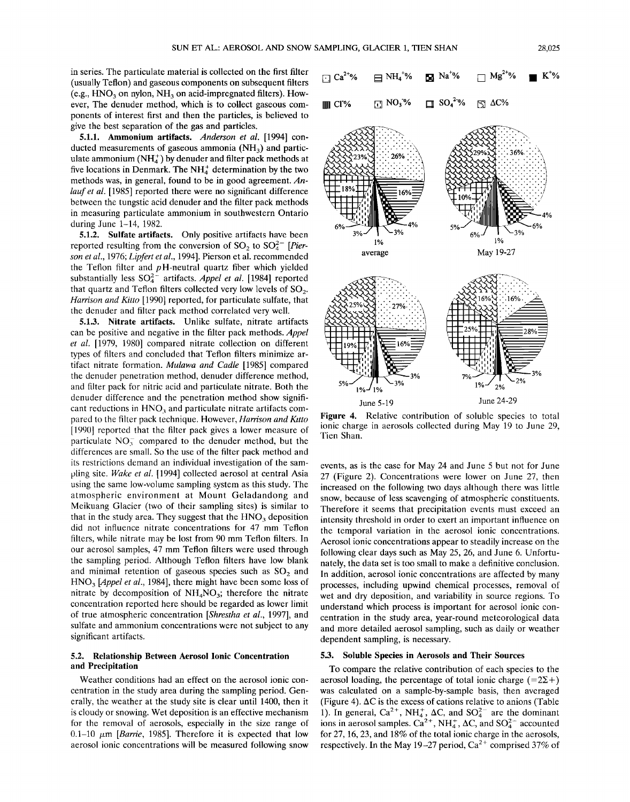(e.g., HNO<sub>3</sub> on nylon, NH<sub>3</sub> on acid-impregnated filters). How**ever, The denuder method, which is to collect gaseous components of interest first and then the particles, is believed to give the best separation of the gas and particles. 5.1.1. Ammonium artifacts. Anderson et al. [1994] con-**

ducted measurements of gaseous ammonia (NH<sub>2</sub>) and particulate ammonium  $(NH_4^+)$  by denuder and filter pack methods at five locations in Denmark. The NH<sup>+</sup> determination by the two methods was, in general, found to be in good agreement. An**lauf et al. [1985] reported there were no significant difference between the tungstic acid denuder and the filter pack methods in measuring particulate ammonium in southwestern Ontario during June 1-14, 1982.** 

**5.1.2. Sulfate artifacts. Only positive artifacts have been**  reported resulting from the conversion of  $SO_2$  to  $SO_4^{2-}$  [Pier**son et al., 1976; Lipfert et al., 1994]. Pierson et al. recommended the Teflon filter and p H-neutral quartz fiber which yielded**  substantially less  $SO_4^{2-}$  artifacts. *Appel et al.* [1984] reported that quartz and Teflon filters collected very low levels of SO<sub>2</sub>. **Harrison and Kitto [1990] reported, for particulate sulfate, that the denuder and filter pack method correlated very well.** 

**5.1.3. Nitrate artifacts. Unlike sulfate, nitrate artifacts can be positive and negative in the filter pack methods. Appe! et al. [1979, 1980] compared nitrate collection on different types of filters and concluded that Teflon filters minimize artifact nitrate formation. Mulawa and Cadle [1985] compared the denuder penetration method, denuder difference method, and filter pack for nitric acid and particulate nitrate. Both the denuder difference and the penetration method show signifi**cant reductions in HNO<sub>3</sub> and particulate nitrate artifacts com**pared to the filter pack technique. However, Harrison and Kitto [1990] reported that the filter pack gives a lower measure of**  particulate  $NO<sub>3</sub><sup>-</sup>$  compared to the denuder method, but the **differences are small. So the use of the filter pack method and its restrictions demand an individual investigation of the sampling site. Wake et al. [1994] collected aerosol at central Asia using the same low-volume sampling system as this study. The atmospheric environment at Mount Geladandong and Meikuang Glacier (two of their sampling sites) is similar to**  that in the study area. They suggest that the  $HNO<sub>3</sub>$  deposition **did not influence nitrate concentrations for 47 mm Teflon filters, while nitrate may be lost from 90 mm Teflon filters. In our aerosol samples, 47 mm Teflon filters were used through the sampling period. Although Teflon filters have low blank**  and minimal retention of gaseous species such as SO<sub>2</sub> and **HNO3 [Appe! et al., 1984], there might have been some loss of nitrate by decomposition of NH4NO3; therefore the nitrate concentration reported here should be regarded as lower limit of true atmospheric concentration [Shrestha et al., 1997], and sulfate and ammonium concentrations were not subject to any significant artifacts.** 

### **5.2. Relationship Between Aerosol Ionic Concentration and Precipitation**

**Weather conditions had an effect on the aerosol ionic concentration in the study area during the sampling period. Generally, the weather at the study site is clear until 1400, then it is cloudy or snowing. Wet deposition is an effective mechanism for the removal of aerosols, especially in the size range of**   $0.1-10 \mu m$  [*Barrie*, 1985]. Therefore it is expected that low **aerosol ionic concentrations will be measured following snow** 





**Figure 4. Relative contribution of soluble species to total ionic charge in aerosols collected during May 19 to June 29, Tien Shan.** 

**events, as is the case for May 24 and June 5 but not for June 27 (Figure 2). Concentrations were lower on June 27, then increased on the following two days although there was little snow, because of less scavenging of atmospheric constituents. Therefore it seems that precipitation events must exceed an intensity threshold in order to exert an important influence on the temporal variation in the aerosol ionic concentrations. Aerosol ionic concentrations appear to steadily increase on the following clear days such as May 25, 26, and June 6. Unfortunately, the data set is too small to make a definitive conclusion. In addition, aerosol ionic concentrations are affected by many processes, including upwind chemical processes, removal of wet and dry deposition, and variability in source regions. To understand which process is important for aerosol ionic concentration in the study area, year-round meteorological data and more detailed aerosol sampling, such as daily or weather dependent sampling, is necessary.** 

# **5.3. Soluble Species in Aerosols and Their Sources**

**To compare the relative contribution of each species to the**  aerosol loading, the percentage of total ionic charge  $(=2\Sigma +)$ **was calculated on a sample-by-sample basis, then averaged (Figure 4). AC is the excess of cations relative to anions (Table**  1). In general,  $Ca^{2+}$ , NH<sub>4</sub>,  $\Delta C$ , and  $SO_4^{2-}$  are the dominant ions in aerosol samples.  $Ca^{2+}$ , NH<sub>4</sub>,  $\Delta C$ , and  $SO_4^{2-}$  accounted **for 27, 16, 23, and 18% of the total ionic charge in the aerosols,**  respectively. In the May 19-27 period,  $Ca^{2+}$  comprised 37% of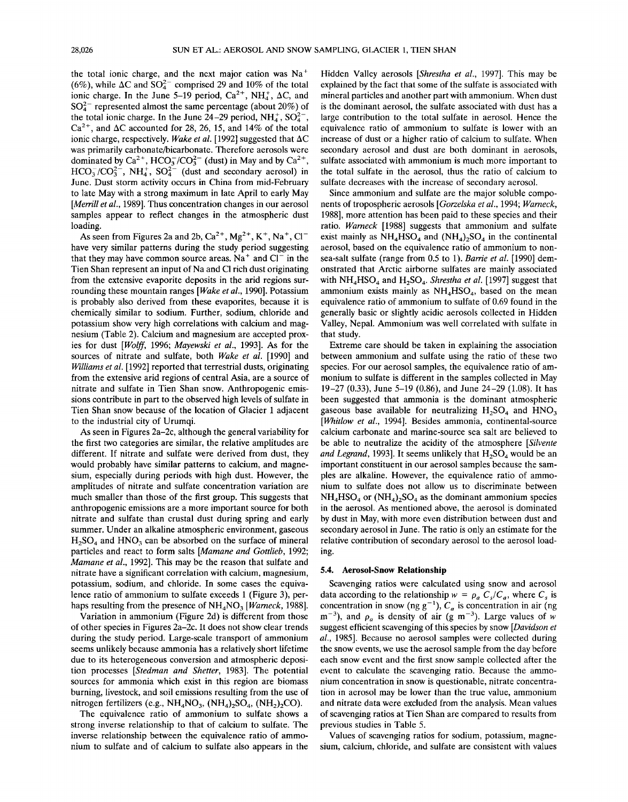the total ionic charge, and the next major cation was Na<sup>+</sup> (6%), while  $\Delta C$  and  $SO_4^{2-}$  comprised 29 and 10% of the total ionic charge. In the June 5–19 period,  $Ca^{2+}$ , NH<sub>4</sub>,  $\Delta C$ , and **SO42- represented almost the same percentage (about 20%) of**  the total ionic charge. In the June 24–29 period,  $NH_4^+$ ,  $SO_4^{2-}$ ,  $Ca<sup>2+</sup>$ , and  $\Delta C$  accounted for 28, 26, 15, and 14% of the total **ionic charge, respectively. Wake et al. [1992] suggested that AC was primarily carbonate/bicarbonate. Therefore aerosols were**  dominated by  $Ca^{2+}$ ,  $HCO<sub>3</sub><sup>-</sup>/CO<sub>3</sub><sup>2-</sup>$  (dust) in May and by  $Ca^{2+}$ ,  $HCO_3^-/CO_3^{2-}$ , NH<sub>4</sub><sup>+</sup>, SO<sub>4</sub><sup>2-</sup> (dust and secondary aerosol) in **June. Dust storm activity occurs in China from mid-February to late May with a strong maximum in late April to early May [Merrill et al., 1989]. Thus concentration changes in our aerosol samples appear to reflect changes in the atmospheric dust loading.** 

As seen from Figures 2a and 2b,  $Ca^{2+}$ ,  $Mg^{2+}$ ,  $K^+$ ,  $Na^+$ ,  $Cl^$ **have very similar patterns during the study period suggesting**  that they may have common source areas.  $Na<sup>+</sup>$  and  $Cl<sup>-</sup>$  in the **Tien Shan represent an input of Na and C1 rich dust originating from the extensive evaporite deposits in the arid regions surrounding these mountain ranges [Wake et al., 1990]. Potassium is probably also derived from these evaporites, because it is chemically similar to sodium. Further, sodium, chloride and potassium show very high correlations with calcium and magnesium (Table 2). Calcium and magnesium are accepted proxies for dust [Wolff, 1996; Mayewski et al., 1993]. As for the sources of nitrate and sulfate, both Wake et al. [1990] and Williams et al. [1992] reported that terrestrial dusts, originating from the extensive arid regions of central Asia, are a source of nitrate and sulfate in Tien Shan snow. Anthropogenic emissions contribute in part to the observed high levels of sulfate in Tien Shan snow because of the location of Glacier 1 adjacent to the industrial city of Urumqi.** 

**As seen in Figures 2a-2c, although the general variability for the first two categories are similar, the relative amplitudes are different. If nitrate and sulfate were derived from dust, they would probably have similar patterns to calcium, and magnesium, especially during periods with high dust. However, the amplitudes of nitrate and sulfate concentration variation are much smaller than those of the first group. This suggests that anthropogenic emissions are a more important source for both nitrate and sulfate than crustal dust during spring and early summer. Under an alkaline atmospheric environment, gaseous**   $H_2SO_4$  and HNO<sub>3</sub> can be absorbed on the surface of mineral **particles and react to form salts [Mamane and Gottlieb, 1992; Mamane et al., 1992]. This may be the reason that sulfate and nitrate have a significant correlation with calcium, magnesium, potassium, sodium, and chloride. In some cases the equivalence ratio of ammonium to sulfate exceeds 1 (Figure 3), per**haps resulting from the presence of NH<sub>4</sub>NO<sub>3</sub> [*Warneck*, 1988].

**Variation in ammonium (Figure 2d) is different from those of other species in Figures 2a-2c. It does not show clear trends during the study period. Large-scale transport of ammonium seems unlikely because ammonia has a relatively short lifetime due to its heterogeneous conversion and atmospheric deposition processes [Stedman and Shetter, 1983]. The potential sources for ammonia which exist in this region are biomass burning, livestock, and soil emissions resulting from the use of**  nitrogen fertilizers (e.g.,  $NH_4NO_3$ ,  $(NH_4)_2SO_4$ ,  $(NH_2)_2CO$ ).

**The equivalence ratio of ammonium to sulfate shows a strong inverse relationship to that of calcium to sulfate. The inverse relationship between the equivalence ratio of ammonium to sulfate and of calcium to sulfate also appears in the**  **Hidden Valley aerosols [Shrestha et al., 1997]. This may be explained by the fact that some of the sulfate is associated with mineral particles and another part with ammonium. When dust is the dominant aerosol, the sulfate associated with dust has a large contribution to the total sulfate in aerosol. Hence the equivalence ratio of ammonium to sulfate is lower with an increase of dust or a higher ratio of calcium to sulfate. When secondary aerosol and dust are both dominant in aerosols, sulfate associated with ammonium is much more important to the total sulfate in the aerosol, thus the ratio of calcium to sulfate decreases with the increase of secondary aerosol.** 

**Since ammonium and sulfate are the major soluble components of tropospheric aerosols [Gorzelska et al., 1994; Warneck, 1988], more attention has been paid to these species and their ratio. Warneck [1988] suggests that ammonium and sulfate**  exist mainly as  $NH_4HSO_4$  and  $(NH_4)_2SO_4$  in the continental **aerosol, based on the equivalence ratio of ammonium to nonsea-salt sulfate (range from 0.5 to 1). Barrie et al. [1990] demonstrated that Arctic airborne sulfates are mainly associated**  with NH<sub>4</sub>HSO<sub>4</sub> and H<sub>2</sub>SO<sub>4</sub>. Shrestha et al. [1997] suggest that ammonium exists mainly as NH<sub>4</sub>HSO<sub>4</sub>, based on the mean **equivalence ratio of ammonium to sulfate of 0.69 found in the generally basic or slightly acidic aerosols collected in Hidden Valley, Nepal. Ammonium was well correlated with sulfate in that study.** 

**Extreme care should be taken in explaining the association between ammonium and sulfate using the ratio of these two species. For our aerosol samples, the equivalence ratio of ammonium to sulfate is different in the samples collected in May 19-27 (0.33), June 5-19 (0.86), and June 24-29 (1.08). It has been suggested that ammonia is the dominant atmospheric**  gaseous base available for neutralizing H<sub>2</sub>SO<sub>4</sub> and HNO<sub>3</sub> **[Whitlow et al., 1994]. Besides ammonia, continental-source calcium carbonate and marine-source sea salt are believed to be able to neutralize the acidity of the atmosphere [Silvente**  and Legrand, 1993]. It seems unlikely that H<sub>2</sub>SO<sub>4</sub> would be an **important constituent in our aerosol samples because the samples are alkaline. However, the equivalence ratio of ammonium to sulfate does not allow us to discriminate between**   $NH<sub>4</sub>HSO<sub>4</sub>$  or  $(NH<sub>4</sub>)$ ,  $SO<sub>4</sub>$  as the dominant ammonium species **in the aerosol. As mentioned above, the aerosol is dominated by dust in May, with more even distribution between dust and secondary aerosol in June. The ratio is only an estimate for the relative contribution of secondary aerosol to the aerosol loading.** 

#### **5.4. Aerosol-Snow Relationship**

**Scavenging ratios were calculated using snow and aerosol**  data according to the relationship  $w = \rho_a C_s/C_a$ , where  $C_s$  is concentration in snow (ng  $g^{-1}$ ),  $C_a$  is concentration in air (ng  $m^{-3}$ ), and  $\rho_a$  is density of air (g m<sup>-3</sup>). Large values of w **suggest efficient scavenging of this species by snow [Davidson et al., 1985]. Because no aerosol samples were collected during the snow events, we use the aerosol sample from the day before each snow event and the first snow sample collected after the event to calculate the scavenging ratio. Because the ammonium concentration in snow is questionable, nitrate concentration in aerosol may be lower than the true value, ammonium and nitrate data were excluded from the analysis. Mean values of scavenging ratios at Tien Shan are compared to results from previous studies in Table 5.** 

**Values of scavenging ratios for sodium, potassium, magnesium, calcium, chloride, and sulfate are consistent with values**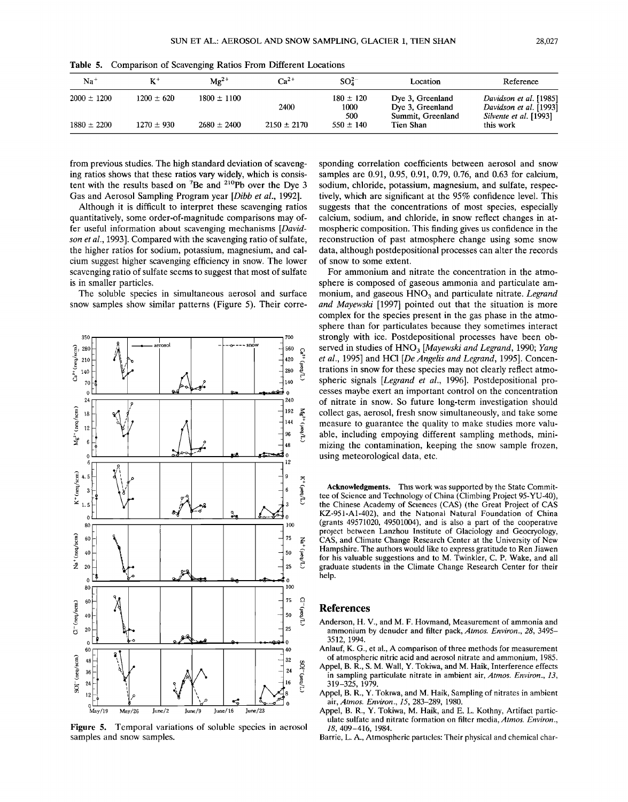| $Na+$           | $\mathbf{K}^+$ | $Mg^{2+}$       | $Ca2+$          | $SO_4^{2-}$                  | Location                                                  | Reference                                                                  |
|-----------------|----------------|-----------------|-----------------|------------------------------|-----------------------------------------------------------|----------------------------------------------------------------------------|
| $2000 \pm 1200$ | $1200 \pm 620$ | $1800 \pm 1100$ | 2400            | $180 \pm 120$<br>1000<br>500 | Dye 3, Greenland<br>Dye 3, Greenland<br>Summit, Greenland | Davidson et al. [1985]<br>Davidson et al. [1993]<br>Silvente et al. [1993] |
| $1880 \pm 2200$ | $1270 \pm 930$ | $2680 \pm 2400$ | $2150 \pm 2170$ | $550 \pm 140$                | Tien Shan                                                 | this work                                                                  |

**Table 5. Comparison of Scavenging Ratios From Different Locations** 

**from previous studies. The high standard deviation of scavenging ratios shows that these ratios vary widely, which is consis**tent with the results based on <sup>7</sup>Be and <sup>210</sup>Pb over the Dye 3 **Gas and Aerosol Sampling Program year [Dibb et al., 1992].** 

**Although it is difficult to interpret these scavenging ratios quantitatively, some order-of-magnitude comparisons may offer useful information about scavenging mechanisms [Davidson et al., 1993]. Compared with the scavenging ratio of sulfate, the higher ratios for sodium, potassium, magnesium, and calcium suggest higher scavenging efficiency in snow. The lower scavenging ratio of sulfate seems to suggest that most of sulfate is in smaller particles.** 

**The soluble species in simultaneous aerosol and surface snow samples show similar patterns (Figure 5). Their corre-**



**Figure 5. Temporal variations of soluble species in aerosol samples and snow samples.** 

**sponding correlation coefficients between aerosol and snow samples are 0.91, 0.95, 0.91, 0.79, 0.76, and 0.63 for calcium, sodium, chloride, potassium, magnesium, and sulfate, respectively, which are significant at the 95% confidence level. This suggests that the concentrations of most species, especially calcium, sodium, and chloride, in snow reflect changes in atmospheric composition. This finding gives us confidence in the reconstruction of past atmosphere change using some snow data, although postdepositional processes can alter the records of snow to some extent.** 

**For ammonium and nitrate the concentration in the atmosphere is composed of gaseous ammonia and particulate am**monium, and gaseous HNO<sub>3</sub> and particulate nitrate. Legrand **and Mayewski [1997] pointed out that the situation is more complex for the species present in the gas phase in the atmosphere than for particulates because they sometimes interact strongly with ice. Postdepositional processes have been ob**served in studies of HNO<sub>3</sub> [Mayewski and Legrand, 1990; Yang **et al., 1995] and HC1 [De Angelis and Legrand, 1995]. Concentrations in snow for these species may not clearly reflect atmospheric signals [Legrand et al., 1996]. Postdepositional processes maybe exert an important control on the concentration of nitrate in snow. So future long-term investigation should collect gas, aerosol, fresh snow simultaneously, and take some measure to guarantee the quality to make studies more valuable, including empoying different sampling methods, minimizing the contamination, keeping the snow sample frozen, using meteorological data, etc.** 

**Acknowledgments. This work was supported by the State Committee of Science and Technology of China (Climbing Project 95-YU-40), the Chinese Academy of Sciences (CAS) (the Great Project of CAS KZ-951-A1-402), and the National Natural Foundation of China (grants 49571020, 49501004), and is also a part of the cooperative project between Lanzhou Institute of Glaciology and Geocryology, CAS, and Climate Change Research Center at the University of New Hampshire. The authors would like to express gratitude to Ren Jiawen for his valuable suggestions and to M. Twinkler, C. P. Wake, and all graduate students in the Climate Change Research Center for their help.** 

#### **References**

- **Anderson, H. V., and M. F. Hovmand, Measurement of ammonia and ammonium by denuder and filter pack, Atmos. Environ., 28, 3495- 3512, 1994.**
- **Anlauf, K. G., et al., A comparison of three methods for measurement of atmospheric nitric acid and aerosol nitrate and ammonium, 1985.**
- **Appel, B. R., S. M. Wall, Y. Tokiwa, and M. Haik, Interference effects in sampling particulate nitrate in ambient air, Atmos. Environ., 13, 319-325, 1979.**
- **Appel, B. R., Y. Tokiwa, and M. Haik, Sampling of nitrates in ambient air, Atmos. Environ., 15, 283-289, 1980.**
- **Appel, B. R., Y. Tokiwa, M. Haik, and E. L. Kothny, Artifact particulate sulfate and nitrate formation on filter media, Atmos. Environ., 18, 409-416, 1984.**
- **Barrie, L. A., Atmospheric particles: Their physical and chemical char-**